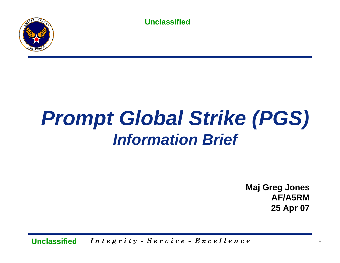

# *Prompt Global Strike (PGS) Information Brief*

**Maj Greg Jones AF/A5RM25 Apr 07**

*I n t e g r i t y - S e r v* <sup>1</sup> *i c e - E x c e l l e n c e* **Unclassified**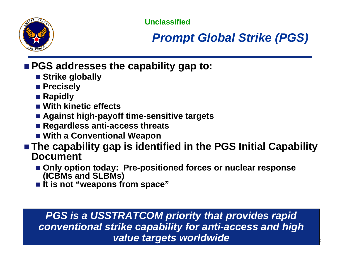

## *Prompt Global Strike (PGS)*

### **PGS addresses the capability gap to:**

- Strike globally
- Precisely
- Rapidly
- **With kinetic effects**
- **Against high-payoff time-sensitive targets**
- **Regardless anti-access threats**
- **With a Conventional Weapon**
- The capability gap is identified in the PGS Initial Capability **Document**
	- Only option today: Pre-positioned forces or nuclear response **(ICBMs and SLBMs)**
	- **It is not "weapons from space"**

#### **I a** *value targets worldwide* a set of the set of  $\mathbb{R}$ *PGS is a USSTRATCOM priority that provides rapid conventional strike capability for anti-access and high*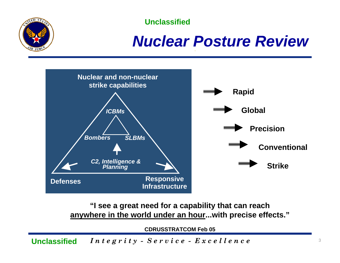

## *Nuclear Posture Review*



**"I see a great need for a capability that can reach anywhere in the world under an hour...with precise effects."**

**CDRUSSTRATCOM Feb 05**

*Integrity - Service - Excellence* 3 **Unclassified**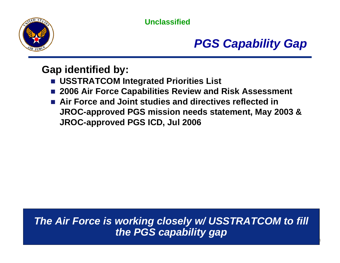

## *PGS Capability Gap*

#### **Gap identified by:**

- **USSTRATCOM Integrated Priorities List**
- **2006 Air Force Capabilities Review and Risk Assessment**
- **Air Force and Joint studies and directives reflected in JROC-approved PGS mission needs statement, May 2003 & JROC-approved PGS ICD, Jul 2006**

*I n t e g r i t y - S e r v* <sup>4</sup> *i c e - E x c e l l e n c e The Air Force is working closely w/ USSTRATCOM to fill the PGS capability gap*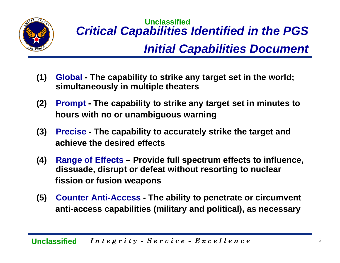

## **Unclassified***Critical Capabilities Identified in the PGS Initial Capabilities Document*

- **(1) Global The capability to strike any target set in the world; simultaneously in multiple theaters**
- **(2) Prompt The capability to strike any target set in minutes to hours with no or unambiguous warning**
- **(3) Precise The capability to accurately strike the target and achieve the desired effects**
- **(4) Range of Effects Provide full spectrum effects to influence, dissuade, disrupt or defeat without resorting to nuclear fission or fusion weapons**
- **(5) Counter Anti-Access The ability to penetrate or circumvent anti-access capabilities (military and political), as necessary**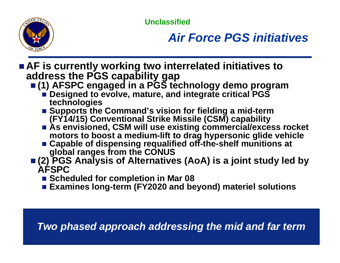

## *Air Force PGS initiatives*

- AF is currently working two interrelated initiatives to **address the PGS capability gap** 
	- **(1) AFSPC engaged in a PGS technology demo program** 
		- **Designed to evolve, mature, and integrate critical PGS technologies**
		- Supports the Command's vision for fielding a mid-term **(FY14/15) Conventional Strike Missile (CSM) capability**
		- As envisioned, CSM will use existing commercial/excess rocket **motors to boost a medium-lift to drag hypersonic glide vehicle**
		- Capable of dispensing requalified off-the-shelf munitions at **global ranges from the CONUS**
	- **(2) PGS Analysis of Alternatives (AoA) is a joint study led by AFSPC**
		- **Scheduled for completion in Mar 08**
		- **Examines long-term (FY2020 and beyond) materiel solutions**

*Two phased approach addressing the mid and far term* 

*I n t e g r i t y - S e r v* <sup>6</sup> *i c e - E x c e l l e n c e*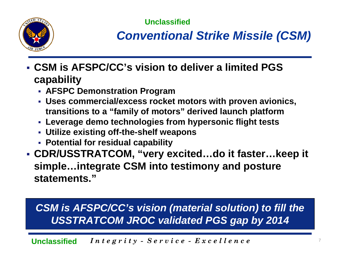

*Conventional Strike Missile (CSM)*

- **CSM is AFSPC/CC's vision to deliver a limited PGS capability**
	- **AFSPC Demonstration Program**
	- **Uses commercial/excess rocket motors with proven avionics, transitions to a "family of motors" derived launch platform**
	- **Leverage demo technologies from hypersonic flight tests**
	- **Utilize existing off-the-shelf weapons**
	- **Potential for residual capability**
- **CDR/USSTRATCOM, "very excited…do it faster…keep it simple…integrate CSM into testimony and posture statements."**

## *CSM is AFSPC/CC's vision (material solution) to fill the USSTRATCOM JROC validated PGS gap by 2014*

*I n t e g r i t y - S e r v* <sup>7</sup> *i c e - E x c e l l e n c e* **Unclassified**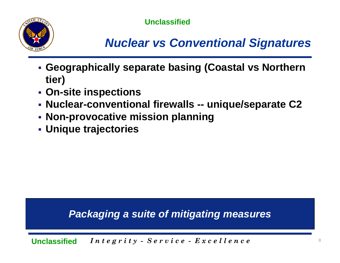

## *Nuclear vs Conventional Signatures*

- **Geographically separate basing (Coastal vs Northern tier)**
- **On-site inspections**
- **Nuclear-conventional firewalls -- unique/separate C2**
- **Non-provocative mission planning**
- **Unique trajectories**

#### *Packaging a suite of mitigating measures*

 $In the$   $g \,ri \,i \,y - S \,e \,rv \,i \,ce - E \,x \,ce \,el \,le \,n \,ce$ **Unclassified**